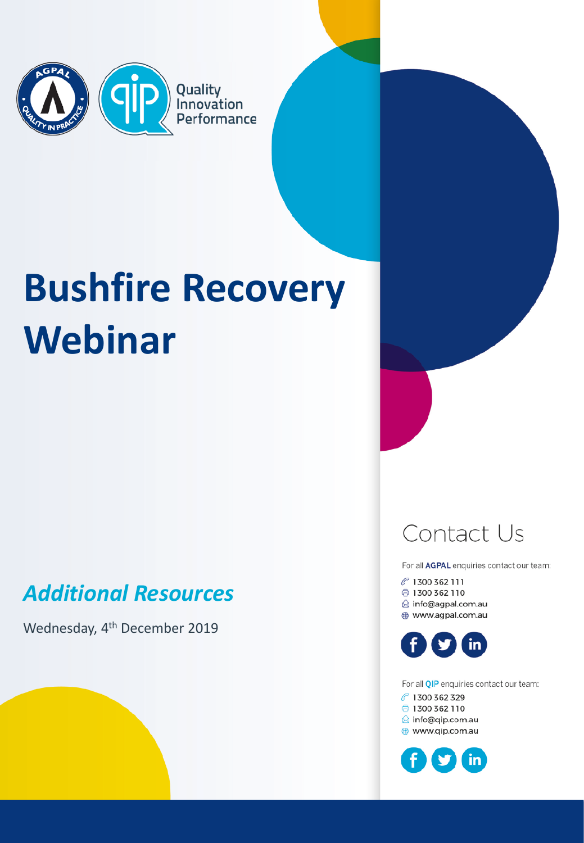

# **Bushfire Recovery Webinar**

### *Additional Resources*

Wednesday, 4<sup>th</sup> December 2019

### Contact Us

For all AGPAL enquiries contact our team:

P 1300 362 111 ₿ 1300 362 110 ☆ info@agpal.com.au www.agpal.com.au



For all QIP enquiries contact our team: で 1300 362 329 ₿ 1300 362 110 <sup>△</sup> info@qip.com.au ⊕ www.qip.com.au

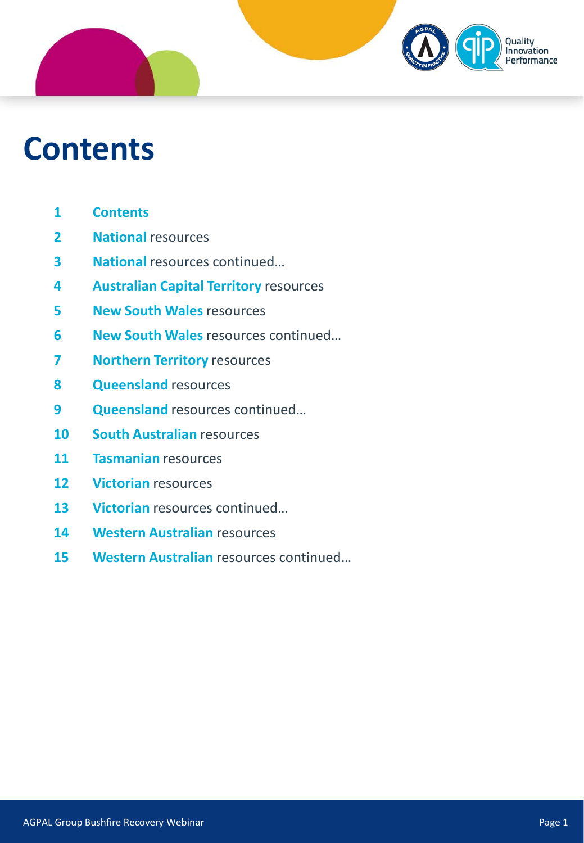### Quality Innovation erformance

### **Contents**

- **Contents**
- **National** resources
- **National** resources continued…
- **Australian Capital Territory** resources
- **New South Wales** resources
- **New South Wales** resources continued…
- **Northern Territory** resources
- **Queensland** resources
- **Queensland** resources continued…
- **South Australian** resources
- **Tasmanian** resources
- **Victorian** resources
- **Victorian** resources continued…
- **14 Western Australian resources**
- **Western Australian** resources continued…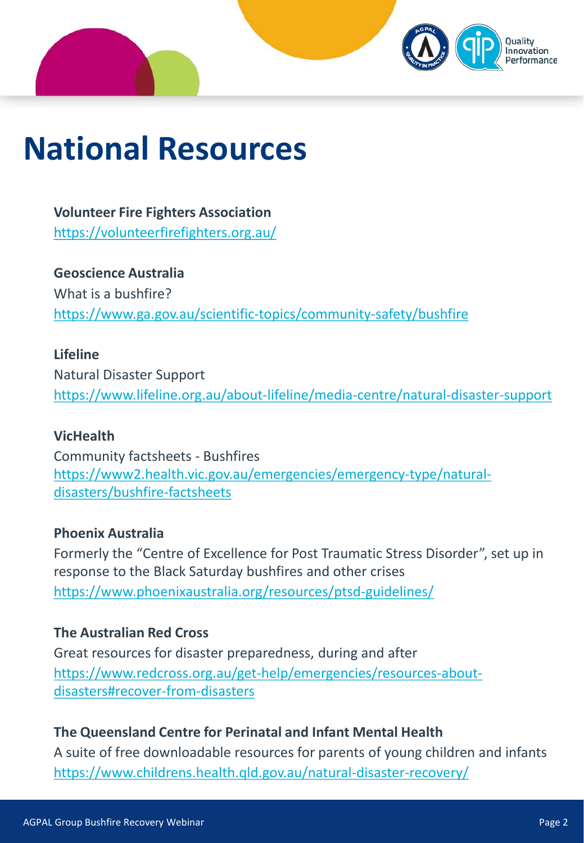

## **National Resources**

**Volunteer Fire Fighters Association** <https://volunteerfirefighters.org.au/>

**Geoscience Australia** What is a bushfire? <https://www.ga.gov.au/scientific-topics/community-safety/bushfire>

#### **Lifeline**

Natural Disaster Support <https://www.lifeline.org.au/about-lifeline/media-centre/natural-disaster-support>

#### **VicHealth**

Community factsheets - Bushfires [https://www2.health.vic.gov.au/emergencies/emergency-type/natural](https://www2.health.vic.gov.au/emergencies/emergency-type/natural-disasters/bushfire-factsheets)disasters/bushfire-factsheets

#### **Phoenix Australia**

Formerly the "Centre of Excellence for Post Traumatic Stress Disorder", set up in response to the Black Saturday bushfires and other crises <https://www.phoenixaustralia.org/resources/ptsd-guidelines/>

#### **The Australian Red Cross**

Great resources for disaster preparedness, during and after [https://www.redcross.org.au/get-help/emergencies/resources-about](https://www.redcross.org.au/get-help/emergencies/resources-about-disasters#recover-from-disasters)disasters#recover-from-disasters

#### **The Queensland Centre for Perinatal and Infant Mental Health**

A suite of free downloadable resources for parents of young children and infants <https://www.childrens.health.qld.gov.au/natural-disaster-recovery/>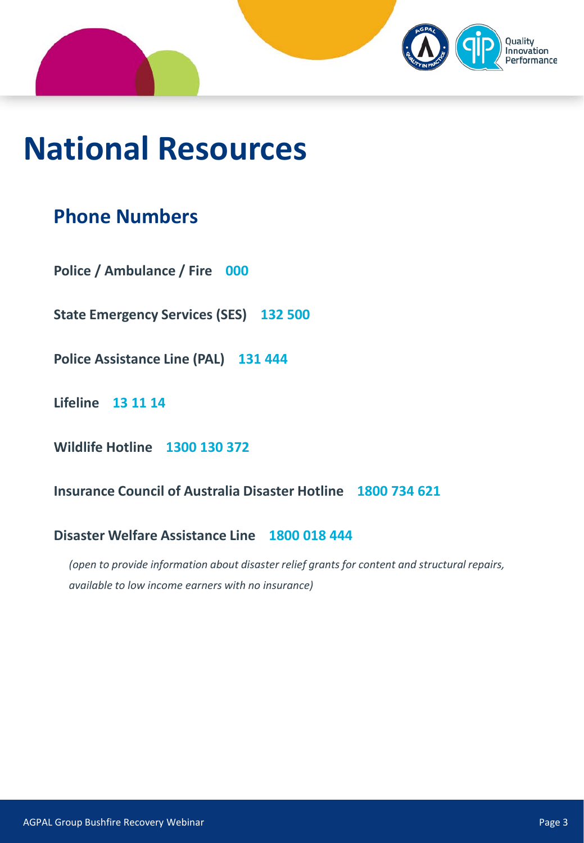

## **National Resources**

### **Phone Numbers**

**Police / Ambulance / Fire 000**

**State Emergency Services (SES) 132 500**

**Police Assistance Line (PAL) 131 444**

**Lifeline 13 11 14**

**Wildlife Hotline 1300 130 372**

**Insurance Council of Australia Disaster Hotline 1800 734 621**

#### **Disaster Welfare Assistance Line 1800 018 444**

*(open to provide information about disaster relief grants for content and structural repairs, available to low income earners with no insurance)*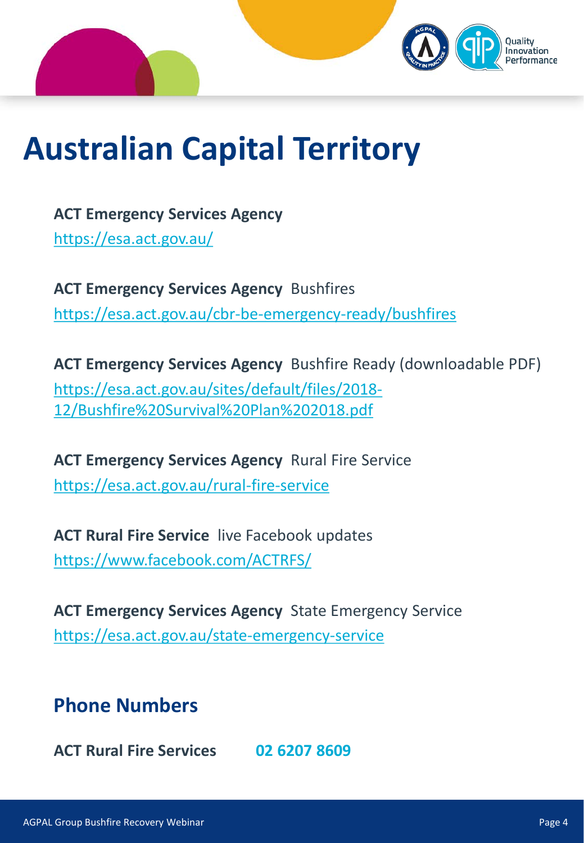

## **Australian Capital Territory**

**ACT Emergency Services Agency** <https://esa.act.gov.au/>

**ACT Emergency Services Agency** Bushfires <https://esa.act.gov.au/cbr-be-emergency-ready/bushfires>

**ACT Emergency Services Agency** Bushfire Ready (downloadable PDF) [https://esa.act.gov.au/sites/default/files/2018-](https://esa.act.gov.au/sites/default/files/2018-12/Bushfire%20Survival%20Plan%202018.pdf) 12/Bushfire%20Survival%20Plan%202018.pdf

**ACT Emergency Services Agency** Rural Fire Service <https://esa.act.gov.au/rural-fire-service>

**ACT Rural Fire Service** live Facebook updates <https://www.facebook.com/ACTRFS/>

**ACT Emergency Services Agency** State Emergency Service <https://esa.act.gov.au/state-emergency-service>

### **Phone Numbers**

**ACT Rural Fire Services 02 6207 8609**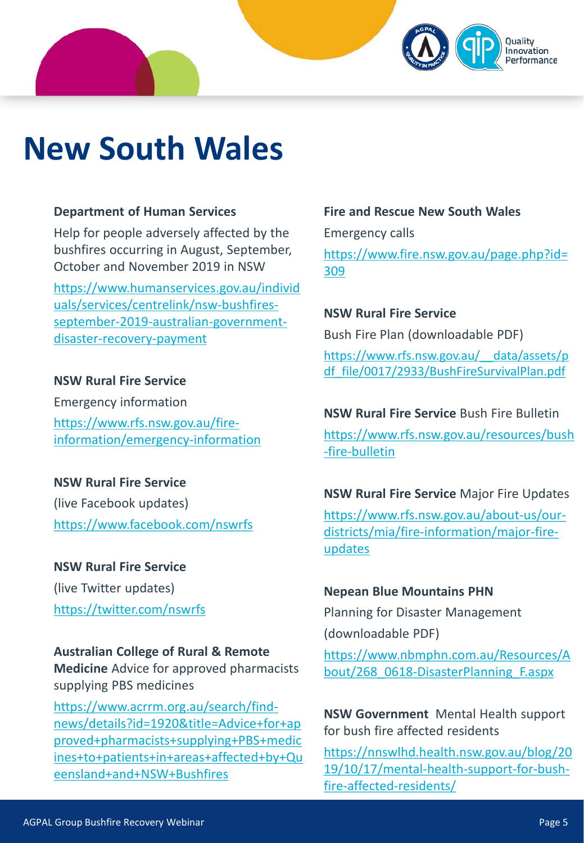

## **New South Wales**

#### **Department of Human Services**

Help for people adversely affected by the bushfires occurring in August, September, October and November 2019 in NSW

[https://www.humanservices.gov.au/individ](https://www.humanservices.gov.au/individuals/services/centrelink/nsw-bushfires-september-2019-australian-government-disaster-recovery-payment) uals/services/centrelink/nsw-bushfiresseptember-2019-australian-governmentdisaster-recovery-payment

#### **NSW Rural Fire Service**

Emergency information https://www.rfs.nsw.gov.au/fire[information/emergency-information](https://www.rfs.nsw.gov.au/fire-information/emergency-information)

**NSW Rural Fire Service**  (live Facebook updates) <https://www.facebook.com/nswrfs>

**NSW Rural Fire Service** (live Twitter updates) <https://twitter.com/nswrfs>

#### **Australian College of Rural & Remote**

**Medicine** Advice for approved pharmacists supplying PBS medicines

https://www.acrrm.org.au/search/findnews/details?id=1920&title=Advice+for+ap proved+pharmacists+supplying+PBS+medic [ines+to+patients+in+areas+affected+by+Qu](https://www.acrrm.org.au/search/find-news/details?id=1920&title=Advice+for+approved+pharmacists+supplying+PBS+medicines+to+patients+in+areas+affected+by+Queensland+and+NSW+Bushfires) eensland+and+NSW+Bushfires

#### **Fire and Rescue New South Wales**

Emergency calls [https://www.fire.nsw.gov.au/page.php?id=](https://www.fire.nsw.gov.au/page.php?id=309) 309

**NSW Rural Fire Service** Bush Fire Plan (downloadable PDF) [https://www.rfs.nsw.gov.au/\\_\\_data/assets/p](https://www.rfs.nsw.gov.au/__data/assets/pdf_file/0017/2933/BushFireSurvivalPlan.pdf) df\_file/0017/2933/BushFireSurvivalPlan.pdf

**NSW Rural Fire Service** Bush Fire Bulletin [https://www.rfs.nsw.gov.au/resources/bush](https://www.rfs.nsw.gov.au/resources/bush-fire-bulletin) -fire-bulletin

**NSW Rural Fire Service** Major Fire Updates [https://www.rfs.nsw.gov.au/about-us/our](https://www.rfs.nsw.gov.au/about-us/our-districts/mia/fire-information/major-fire-updates)districts/mia/fire-information/major-fireupdates

#### **Nepean Blue Mountains PHN**

Planning for Disaster Management (downloadable PDF)

[https://www.nbmphn.com.au/Resources/A](https://www.nbmphn.com.au/Resources/About/268_0618-DisasterPlanning_F.aspx) bout/268\_0618-DisasterPlanning\_F.aspx

**NSW Government** Mental Health support for bush fire affected residents

https://nnswlhd.health.nsw.gov.au/blog/20 [19/10/17/mental-health-support-for-bush](https://nnswlhd.health.nsw.gov.au/blog/2019/10/17/mental-health-support-for-bush-fire-affected-residents/)fire-affected-residents/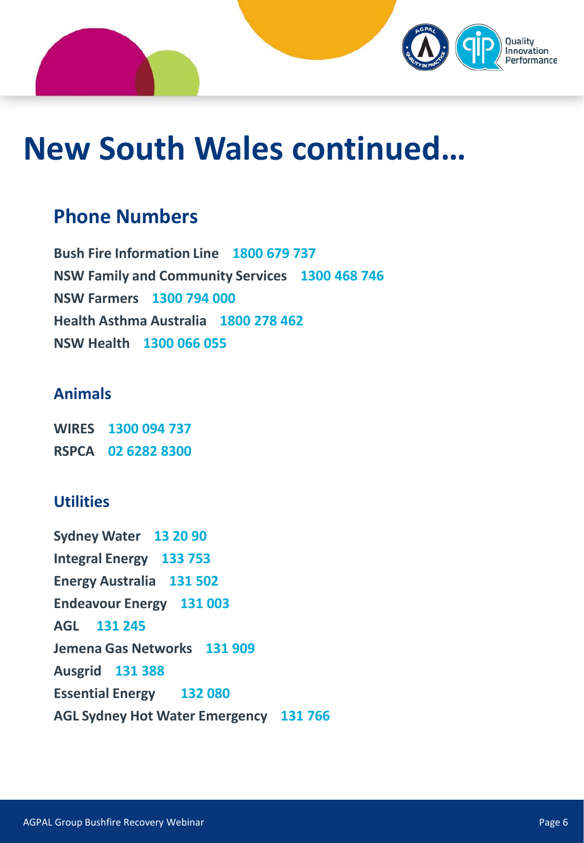

## **New South Wales continued…**

### **Phone Numbers**

**Bush Fire Information Line 1800 679 737 NSW Family and Community Services 1300 468 746 NSW Farmers 1300 794 000 Health Asthma Australia 1800 278 462 NSW Health 1300 066 055**

#### **Animals**

**WIRES 1300 094 737 RSPCA 02 6282 8300**

#### **Utilities**

**Sydney Water 13 20 90 Integral Energy 133 753 Energy Australia 131 502 Endeavour Energy 131 003 AGL 131 245 Jemena Gas Networks 131 909 Ausgrid 131 388 Essential Energy 132 080 AGL Sydney Hot Water Emergency 131 766**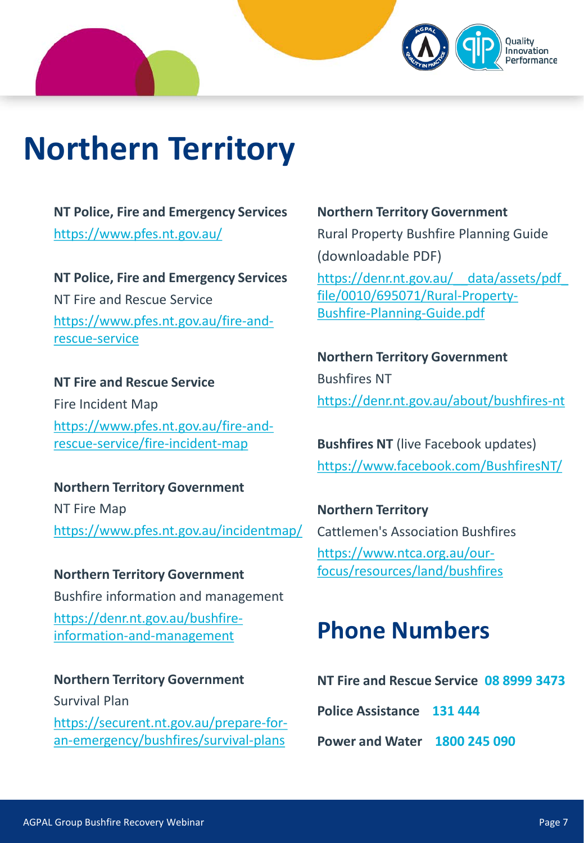## **Northern Territory**

**NT Police, Fire and Emergency Services** <https://www.pfes.nt.gov.au/>

**NT Police, Fire and Emergency Services** NT Fire and Rescue Service [https://www.pfes.nt.gov.au/fire-and](https://www.pfes.nt.gov.au/fire-and-rescue-service)rescue-service

**NT Fire and Rescue Service** Fire Incident Map [https://www.pfes.nt.gov.au/fire-and](https://www.pfes.nt.gov.au/fire-and-rescue-service/fire-incident-map)rescue-service/fire-incident-map

**Northern Territory Government** NT Fire Map <https://www.pfes.nt.gov.au/incidentmap/>

**Northern Territory Government** Bushfire information and management [https://denr.nt.gov.au/bushfire](https://denr.nt.gov.au/bushfire-information-and-management)information-and-management

**Northern Territory Government** Survival Plan [https://securent.nt.gov.au/prepare-for](https://securent.nt.gov.au/prepare-for-an-emergency/bushfires/survival-plans)an-emergency/bushfires/survival-plans

**Northern Territory Government** Rural Property Bushfire Planning Guide (downloadable PDF) https://denr.nt.gov.au/ data/assets/pdf file/0010/695071/Rural-Property-Bushfire-Planning-Guide.pdf

**Northern Territory Government** Bushfires NT <https://denr.nt.gov.au/about/bushfires-nt>

**Bushfires NT** (live Facebook updates) <https://www.facebook.com/BushfiresNT/>

**Northern Territory**  Cattlemen's Association Bushfires https://www.ntca.org.au/our[focus/resources/land/bushfires](https://www.ntca.org.au/our-focus/resources/land/bushfires)

### **Phone Numbers**

**NT Fire and Rescue Service 08 8999 3473**

**Police Assistance 131 444**

**Power and Water 1800 245 090**

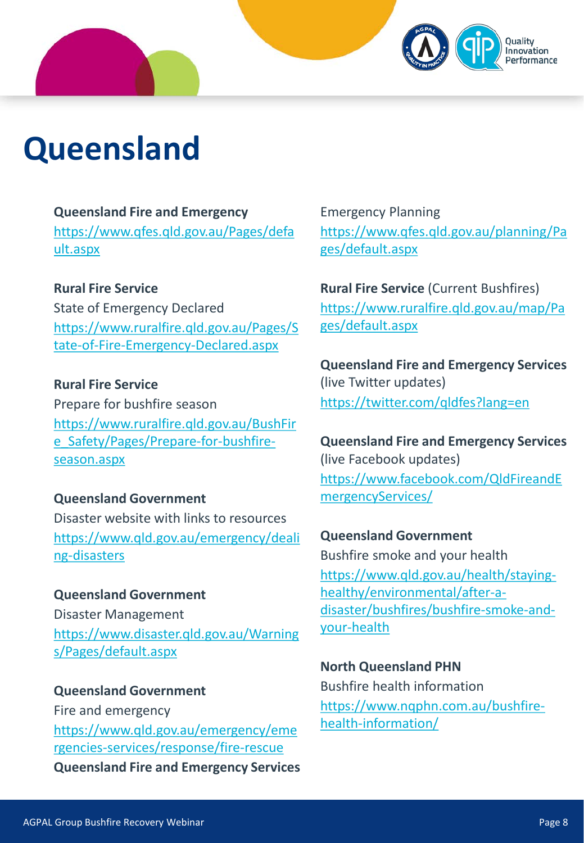## **Queensland**

#### **Queensland Fire and Emergency**

[https://www.qfes.qld.gov.au/Pages/defa](https://www.qfes.qld.gov.au/Pages/default.aspx) ult.aspx

#### **Rural Fire Service**

State of Emergency Declared [https://www.ruralfire.qld.gov.au/Pages/S](https://www.ruralfire.qld.gov.au/Pages/State-of-Fire-Emergency-Declared.aspx) tate-of-Fire-Emergency-Declared.aspx

**Rural Fire Service** Prepare for bushfire season [https://www.ruralfire.qld.gov.au/BushFir](https://www.ruralfire.qld.gov.au/BushFire_Safety/Pages/Prepare-for-bushfire-season.aspx) e\_Safety/Pages/Prepare-for-bushfireseason.aspx

#### **Queensland Government**

Disaster website with links to resources [https://www.qld.gov.au/emergency/deali](https://www.qld.gov.au/emergency/dealing-disasters) ng-disasters

#### **Queensland Government**

Disaster Management [https://www.disaster.qld.gov.au/Warning](https://www.disaster.qld.gov.au/Warnings/Pages/default.aspx) s/Pages/default.aspx

**Queensland Government** Fire and emergency [https://www.qld.gov.au/emergency/eme](https://www.qld.gov.au/emergency/emergencies-services/response/fire-rescue) rgencies-services/response/fire-rescue

**Queensland Fire and Emergency Services**

Emergency Planning [https://www.qfes.qld.gov.au/planning/Pa](https://www.qfes.qld.gov.au/planning/Pages/default.aspx) ges/default.aspx

novation

**Rural Fire Service** (Current Bushfires) [https://www.ruralfire.qld.gov.au/map/Pa](https://www.ruralfire.qld.gov.au/map/Pages/default.aspx) ges/default.aspx

**Queensland Fire and Emergency Services**  (live Twitter updates) <https://twitter.com/qldfes?lang=en>

**Queensland Fire and Emergency Services**  (live Facebook updates) [https://www.facebook.com/QldFireandE](https://www.facebook.com/QldFireandEmergencyServices/) mergencyServices/

#### **Queensland Government**

Bushfire smoke and your health https://www.qld.gov.au/health/stayinghealthy/environmental/after-a[disaster/bushfires/bushfire-smoke-and](https://www.qld.gov.au/health/staying-healthy/environmental/after-a-disaster/bushfires/bushfire-smoke-and-your-health)your-health

#### **North Queensland PHN**

Bushfire health information [https://www.nqphn.com.au/bushfire](https://www.nqphn.com.au/bushfire-health-information/)health-information/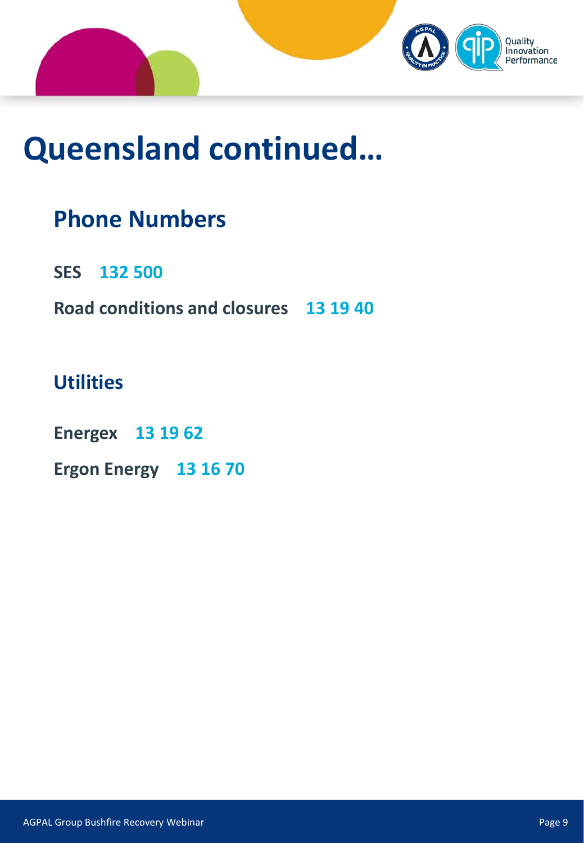

## **Queensland continued…**

### **Phone Numbers**

**SES 132 500**

**Road conditions and closures 13 19 40**

### **Utilities**

**Energex 13 19 62**

**Ergon Energy 13 16 70**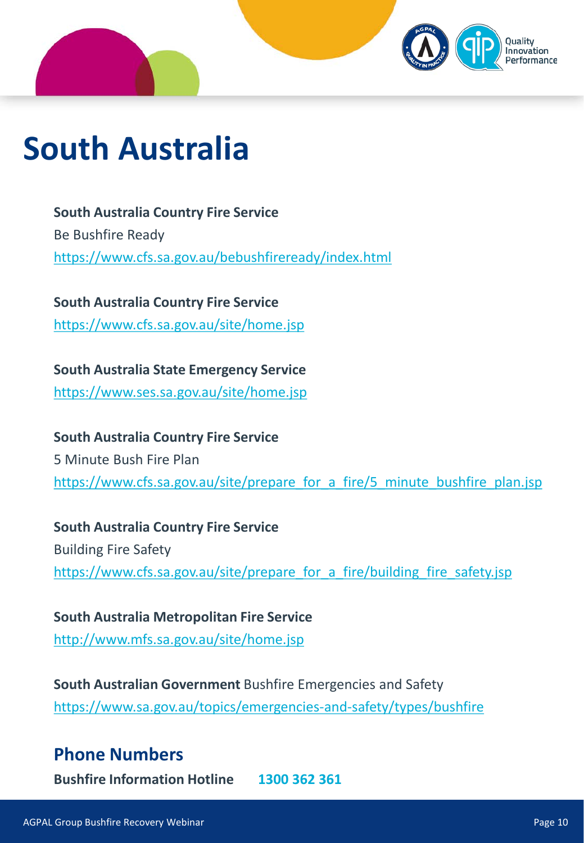

## **South Australia**

**South Australia Country Fire Service** Be Bushfire Ready <https://www.cfs.sa.gov.au/bebushfireready/index.html>

**South Australia Country Fire Service** <https://www.cfs.sa.gov.au/site/home.jsp>

**South Australia State Emergency Service** <https://www.ses.sa.gov.au/site/home.jsp>

**South Australia Country Fire Service** 5 Minute Bush Fire Plan [https://www.cfs.sa.gov.au/site/prepare\\_for\\_a\\_fire/5\\_minute\\_bushfire\\_plan.jsp](https://www.cfs.sa.gov.au/site/prepare_for_a_fire/5_minute_bushfire_plan.jsp)

**South Australia Country Fire Service** Building Fire Safety [https://www.cfs.sa.gov.au/site/prepare\\_for\\_a\\_fire/building\\_fire\\_safety.jsp](https://www.cfs.sa.gov.au/site/prepare_for_a_fire/building_fire_safety.jsp)

**South Australia Metropolitan Fire Service** <http://www.mfs.sa.gov.au/site/home.jsp>

**South Australian Government** Bushfire Emergencies and Safety <https://www.sa.gov.au/topics/emergencies-and-safety/types/bushfire>

#### **Phone Numbers**

**Bushfire Information Hotline 1300 362 361**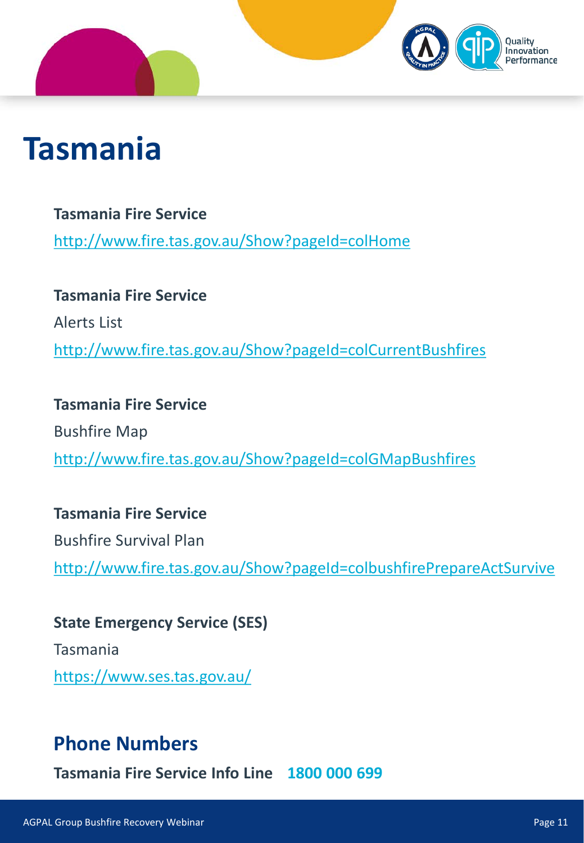## **Tasmania**

**Tasmania Fire Service** <http://www.fire.tas.gov.au/Show?pageId=colHome>

**Tasmania Fire Service** Alerts List <http://www.fire.tas.gov.au/Show?pageId=colCurrentBushfires>

**Tasmania Fire Service** Bushfire Map <http://www.fire.tas.gov.au/Show?pageId=colGMapBushfires>

#### **Tasmania Fire Service**

Bushfire Survival Plan <http://www.fire.tas.gov.au/Show?pageId=colbushfirePrepareActSurvive>

**State Emergency Service (SES)** Tasmania <https://www.ses.tas.gov.au/>

### **Phone Numbers**

**Tasmania Fire Service Info Line 1800 000 699**

nnovation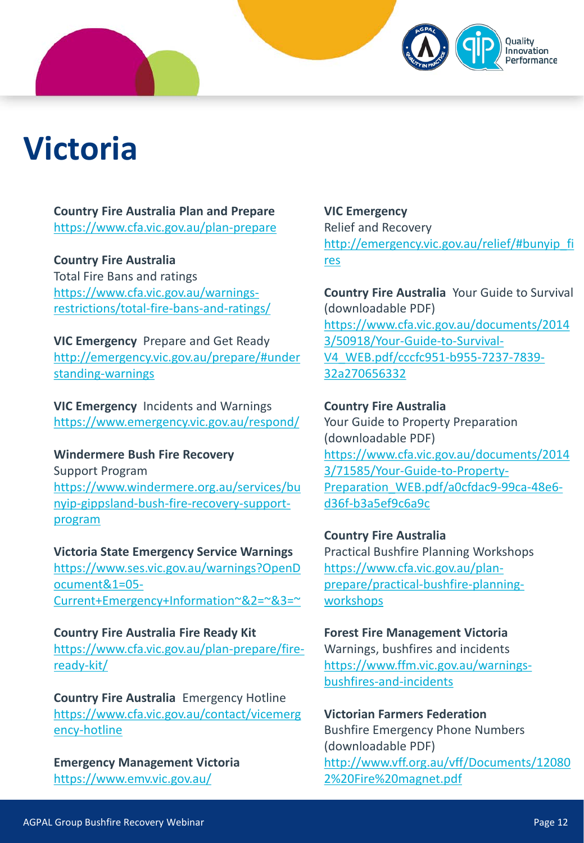## **Victoria**

**Country Fire Australia Plan and Prepare** <https://www.cfa.vic.gov.au/plan-prepare>

#### **Country Fire Australia**

Total Fire Bans and ratings https://www.cfa.vic.gov.au/warnings[restrictions/total-fire-bans-and-ratings/](https://www.cfa.vic.gov.au/warnings-restrictions/total-fire-bans-and-ratings/)

**VIC Emergency** Prepare and Get Ready [http://emergency.vic.gov.au/prepare/#under](http://emergency.vic.gov.au/prepare/#understanding-warnings) standing-warnings

**VIC Emergency** Incidents and Warnings <https://www.emergency.vic.gov.au/respond/>

#### **Windermere Bush Fire Recovery**

Support Program https://www.windermere.org.au/services/bu [nyip-gippsland-bush-fire-recovery-support](https://www.windermere.org.au/services/bunyip-gippsland-bush-fire-recovery-support-program)program

**Victoria State Emergency Service Warnings** https://www.ses.vic.gov.au/warnings?OpenD ocument&1=05- [Current+Emergency+Information~&2=~&3=~](https://www.ses.vic.gov.au/warnings?OpenDocument&1=05-Current+Emergency+Information%7E&2=%7E&3=%7E)

**Country Fire Australia Fire Ready Kit** [https://www.cfa.vic.gov.au/plan-prepare/fire](https://www.cfa.vic.gov.au/plan-prepare/fire-ready-kit/)ready-kit/

**Country Fire Australia** Emergency Hotline [https://www.cfa.vic.gov.au/contact/vicemerg](https://www.cfa.vic.gov.au/contact/vicemergency-hotline) ency-hotline

**Emergency Management Victoria** <https://www.emv.vic.gov.au/>

**VIC Emergency** Relief and Recovery [http://emergency.vic.gov.au/relief/#bunyip\\_fi](http://emergency.vic.gov.au/relief/#bunyip_fires) res

novation

**Country Fire Australia** Your Guide to Survival (downloadable PDF) [https://www.cfa.vic.gov.au/documents/2014](https://www.cfa.vic.gov.au/documents/20143/50918/Your-Guide-to-Survival-V4_WEB.pdf/cccfc951-b955-7237-7839-32a270656332) 3/50918/Your-Guide-to-Survival-V4\_WEB.pdf/cccfc951-b955-7237-7839- 32a270656332

#### **Country Fire Australia**

Your Guide to Property Preparation (downloadable PDF) https://www.cfa.vic.gov.au/documents/2014 3/71585/Your-Guide-to-Property-Preparation WEB.pdf/a0cfdac9-99ca-48e6d36f-b3a5ef9c6a9c

#### **Country Fire Australia**

Practical Bushfire Planning Workshops https://www.cfa.vic.gov.au/plan[prepare/practical-bushfire-planning](https://www.cfa.vic.gov.au/plan-prepare/practical-bushfire-planning-workshops)workshops

#### **Forest Fire Management Victoria**

Warnings, bushfires and incidents [https://www.ffm.vic.gov.au/warnings](https://www.ffm.vic.gov.au/warnings-bushfires-and-incidents)bushfires-and-incidents

#### **Victorian Farmers Federation**

Bushfire Emergency Phone Numbers (downloadable PDF) [http://www.vff.org.au/vff/Documents/12080](http://www.vff.org.au/vff/Documents/120802%20Fire%20magnet.pdf) 2%20Fire%20magnet.pdf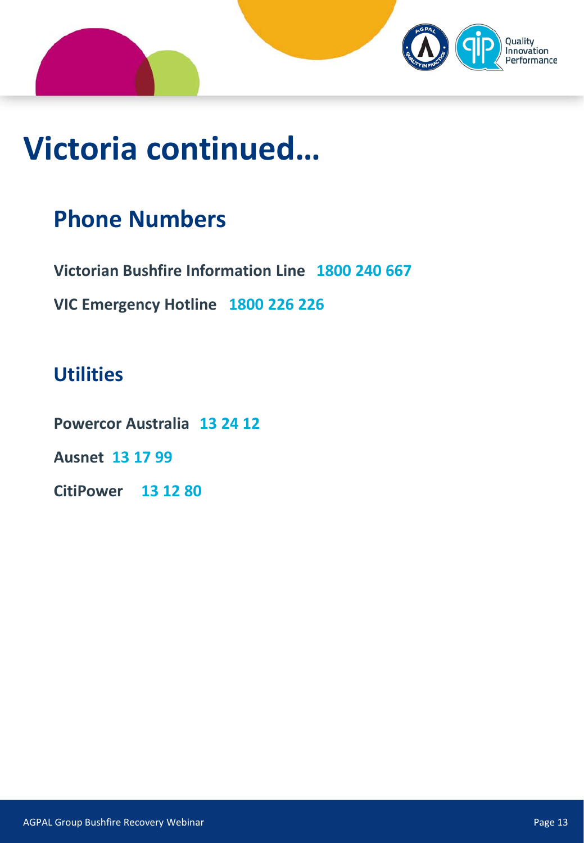![](_page_13_Picture_0.jpeg)

## **Victoria continued…**

### **Phone Numbers**

**Victorian Bushfire Information Line 1800 240 667**

**VIC Emergency Hotline 1800 226 226**

### **Utilities**

**Powercor Australia 13 24 12**

**Ausnet 13 17 99**

**CitiPower 13 12 80**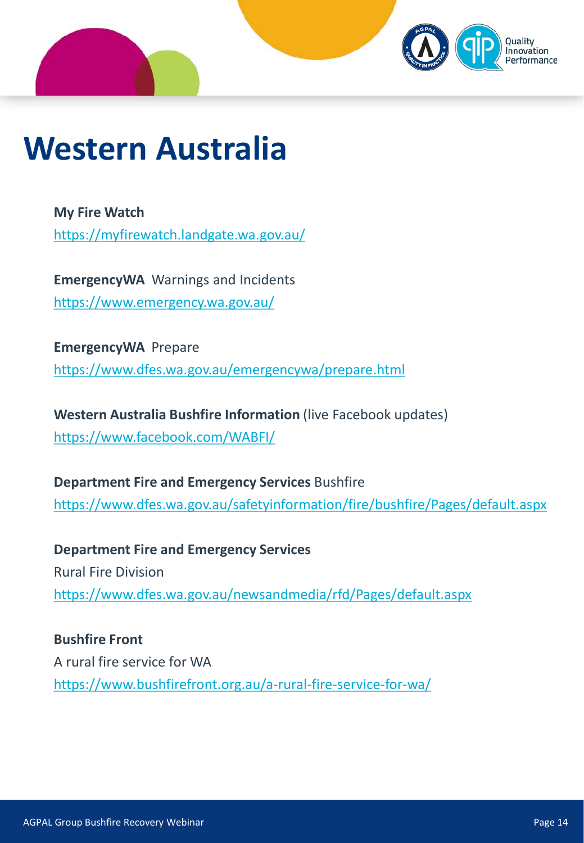![](_page_14_Picture_0.jpeg)

## **Western Australia**

**My Fire Watch** <https://myfirewatch.landgate.wa.gov.au/>

**EmergencyWA** Warnings and Incidents <https://www.emergency.wa.gov.au/>

**EmergencyWA** Prepare <https://www.dfes.wa.gov.au/emergencywa/prepare.html>

**Western Australia Bushfire Information** (live Facebook updates) <https://www.facebook.com/WABFI/>

**Department Fire and Emergency Services** Bushfire <https://www.dfes.wa.gov.au/safetyinformation/fire/bushfire/Pages/default.aspx>

**Department Fire and Emergency Services** Rural Fire Division <https://www.dfes.wa.gov.au/newsandmedia/rfd/Pages/default.aspx>

**Bushfire Front** A rural fire service for WA <https://www.bushfirefront.org.au/a-rural-fire-service-for-wa/>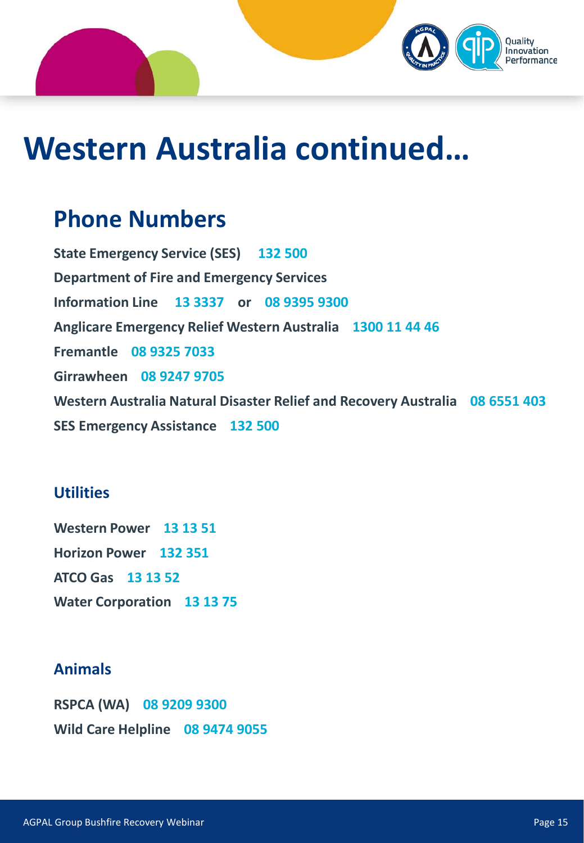![](_page_15_Picture_0.jpeg)

## **Western Australia continued…**

### **Phone Numbers**

**State Emergency Service (SES) 132 500 Department of Fire and Emergency Services Information Line 13 3337 or 08 9395 9300 Anglicare Emergency Relief Western Australia 1300 11 44 46 Fremantle 08 9325 7033 Girrawheen 08 9247 9705 Western Australia Natural Disaster Relief and Recovery Australia 08 6551 403 SES Emergency Assistance 132 500**

#### **Utilities**

**Western Power 13 13 51 Horizon Power 132 351 ATCO Gas 13 13 52 Water Corporation 13 13 75**

#### **Animals**

**RSPCA (WA) 08 9209 9300 Wild Care Helpline 08 9474 9055**